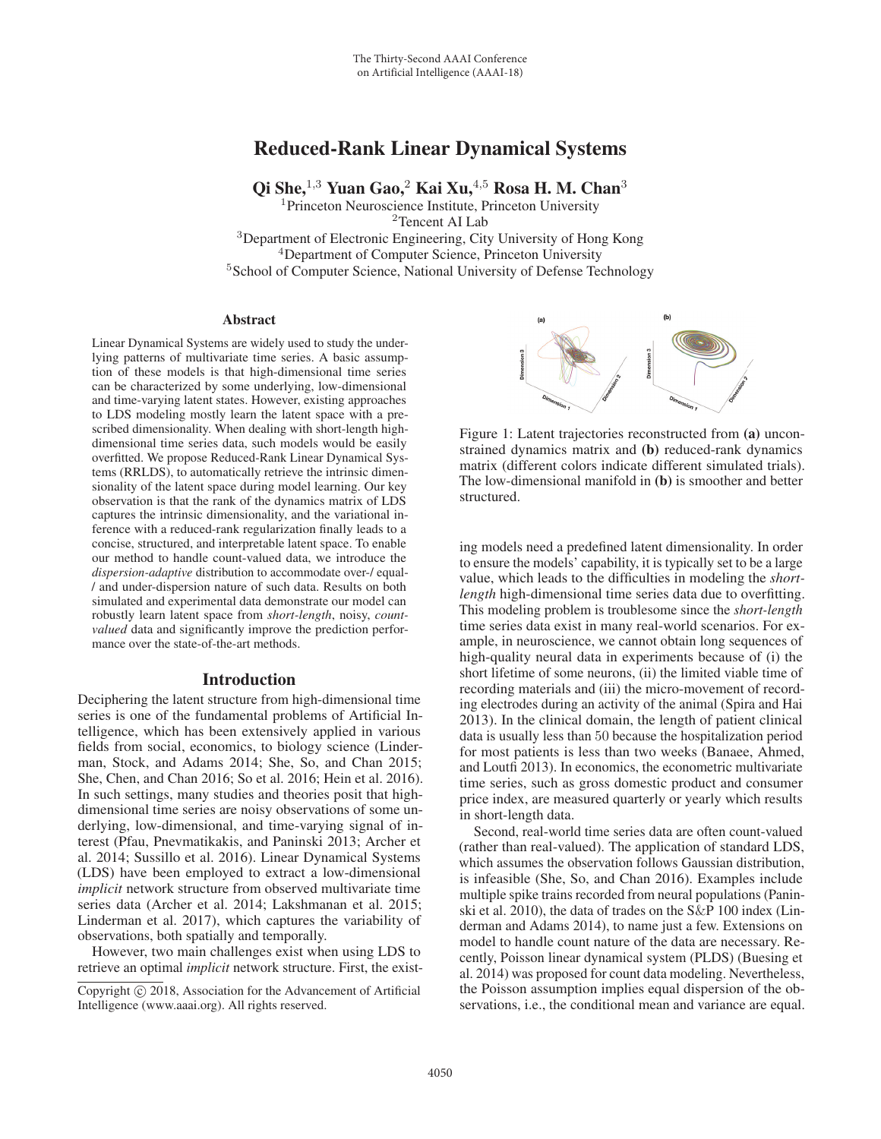# Reduced-Rank Linear Dynamical Systems

Qi She, $^{1,3}$  Yuan Gao, $^2$  Kai Xu, $^{4,5}$  Rosa H. M. Chan $^3$ 

<sup>1</sup>Princeton Neuroscience Institute, Princeton University <sup>2</sup>Tencent AI Lab <sup>3</sup>Department of Electronic Engineering, City University of Hong Kong <sup>4</sup>Department of Computer Science, Princeton University <sup>5</sup>School of Computer Science, National University of Defense Technology

## Abstract

Linear Dynamical Systems are widely used to study the underlying patterns of multivariate time series. A basic assumption of these models is that high-dimensional time series can be characterized by some underlying, low-dimensional and time-varying latent states. However, existing approaches to LDS modeling mostly learn the latent space with a prescribed dimensionality. When dealing with short-length highdimensional time series data, such models would be easily overfitted. We propose Reduced-Rank Linear Dynamical Systems (RRLDS), to automatically retrieve the intrinsic dimensionality of the latent space during model learning. Our key observation is that the rank of the dynamics matrix of LDS captures the intrinsic dimensionality, and the variational inference with a reduced-rank regularization finally leads to a concise, structured, and interpretable latent space. To enable our method to handle count-valued data, we introduce the *dispersion-adaptive* distribution to accommodate over-/ equal- / and under-dispersion nature of such data. Results on both simulated and experimental data demonstrate our model can robustly learn latent space from *short-length*, noisy, *countvalued* data and significantly improve the prediction performance over the state-of-the-art methods.

# Introduction

Deciphering the latent structure from high-dimensional time series is one of the fundamental problems of Artificial Intelligence, which has been extensively applied in various fields from social, economics, to biology science (Linderman, Stock, and Adams 2014; She, So, and Chan 2015; She, Chen, and Chan 2016; So et al. 2016; Hein et al. 2016). In such settings, many studies and theories posit that highdimensional time series are noisy observations of some underlying, low-dimensional, and time-varying signal of interest (Pfau, Pnevmatikakis, and Paninski 2013; Archer et al. 2014; Sussillo et al. 2016). Linear Dynamical Systems (LDS) have been employed to extract a low-dimensional *implicit* network structure from observed multivariate time series data (Archer et al. 2014; Lakshmanan et al. 2015; Linderman et al. 2017), which captures the variability of observations, both spatially and temporally.

However, two main challenges exist when using LDS to retrieve an optimal *implicit* network structure. First, the exist-





Figure 1: Latent trajectories reconstructed from (a) unconstrained dynamics matrix and (b) reduced-rank dynamics matrix (different colors indicate different simulated trials). The low-dimensional manifold in (b) is smoother and better structured.

ing models need a predefined latent dimensionality. In order to ensure the models' capability, it is typically set to be a large value, which leads to the difficulties in modeling the *shortlength* high-dimensional time series data due to overfitting. This modeling problem is troublesome since the *short-length* time series data exist in many real-world scenarios. For example, in neuroscience, we cannot obtain long sequences of high-quality neural data in experiments because of (i) the short lifetime of some neurons, (ii) the limited viable time of recording materials and (iii) the micro-movement of recording electrodes during an activity of the animal (Spira and Hai 2013). In the clinical domain, the length of patient clinical data is usually less than 50 because the hospitalization period for most patients is less than two weeks (Banaee, Ahmed, and Loutfi 2013). In economics, the econometric multivariate time series, such as gross domestic product and consumer price index, are measured quarterly or yearly which results in short-length data.

Second, real-world time series data are often count-valued (rather than real-valued). The application of standard LDS, which assumes the observation follows Gaussian distribution, is infeasible (She, So, and Chan 2016). Examples include multiple spike trains recorded from neural populations (Paninski et al. 2010), the data of trades on the S&P 100 index (Linderman and Adams 2014), to name just a few. Extensions on model to handle count nature of the data are necessary. Recently, Poisson linear dynamical system (PLDS) (Buesing et al. 2014) was proposed for count data modeling. Nevertheless, the Poisson assumption implies equal dispersion of the observations, i.e., the conditional mean and variance are equal.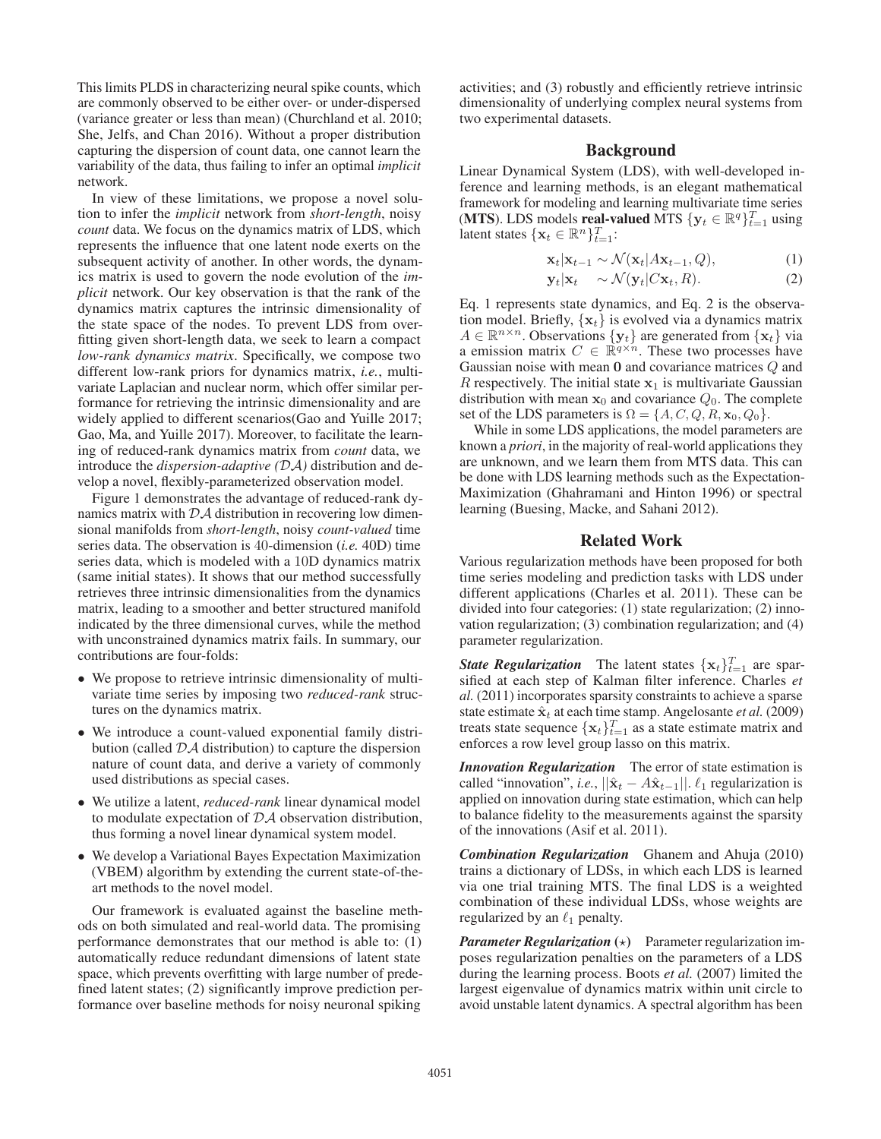This limits PLDS in characterizing neural spike counts, which are commonly observed to be either over- or under-dispersed (variance greater or less than mean) (Churchland et al. 2010; She, Jelfs, and Chan 2016). Without a proper distribution capturing the dispersion of count data, one cannot learn the variability of the data, thus failing to infer an optimal *implicit* network.

In view of these limitations, we propose a novel solution to infer the *implicit* network from *short-length*, noisy *count* data. We focus on the dynamics matrix of LDS, which represents the influence that one latent node exerts on the subsequent activity of another. In other words, the dynamics matrix is used to govern the node evolution of the *implicit* network. Our key observation is that the rank of the dynamics matrix captures the intrinsic dimensionality of the state space of the nodes. To prevent LDS from overfitting given short-length data, we seek to learn a compact *low-rank dynamics matrix*. Specifically, we compose two different low-rank priors for dynamics matrix, *i.e.*, multivariate Laplacian and nuclear norm, which offer similar performance for retrieving the intrinsic dimensionality and are widely applied to different scenarios(Gao and Yuille 2017; Gao, Ma, and Yuille 2017). Moreover, to facilitate the learning of reduced-rank dynamics matrix from *count* data, we introduce the *dispersion-adaptive (*DA*)* distribution and develop a novel, flexibly-parameterized observation model.

Figure 1 demonstrates the advantage of reduced-rank dynamics matrix with  $\mathcal{D}\mathcal{A}$  distribution in recovering low dimensional manifolds from *short-length*, noisy *count-valued* time series data. The observation is 40-dimension (*i.e.* 40D) time series data, which is modeled with a 10D dynamics matrix (same initial states). It shows that our method successfully retrieves three intrinsic dimensionalities from the dynamics matrix, leading to a smoother and better structured manifold indicated by the three dimensional curves, while the method with unconstrained dynamics matrix fails. In summary, our contributions are four-folds:

- We propose to retrieve intrinsic dimensionality of multivariate time series by imposing two *reduced-rank* structures on the dynamics matrix.
- We introduce a count-valued exponential family distribution (called DA distribution) to capture the dispersion nature of count data, and derive a variety of commonly used distributions as special cases.
- We utilize a latent, *reduced-rank* linear dynamical model to modulate expectation of DA observation distribution, thus forming a novel linear dynamical system model.
- We develop a Variational Bayes Expectation Maximization (VBEM) algorithm by extending the current state-of-theart methods to the novel model.

Our framework is evaluated against the baseline methods on both simulated and real-world data. The promising performance demonstrates that our method is able to: (1) automatically reduce redundant dimensions of latent state space, which prevents overfitting with large number of predefined latent states; (2) significantly improve prediction performance over baseline methods for noisy neuronal spiking

activities; and (3) robustly and efficiently retrieve intrinsic dimensionality of underlying complex neural systems from two experimental datasets.

# Background

Linear Dynamical System (LDS), with well-developed inference and learning methods, is an elegant mathematical framework for modeling and learning multivariate time series (MTS). LDS models **real-valued** MTS  $\{y_t \in \mathbb{R}^q\}_{t=1}^T$  using latent states  $\{\mathbf{x}_t \in \mathbb{R}^n\}_{t=1}^T$ :

$$
\mathbf{x}_t | \mathbf{x}_{t-1} \sim \mathcal{N}(\mathbf{x}_t | A \mathbf{x}_{t-1}, Q), \tag{1}
$$

$$
\mathbf{y}_t|\mathbf{x}_t \sim \mathcal{N}(\mathbf{y}_t|C\mathbf{x}_t, R). \tag{2}
$$

Eq. 1 represents state dynamics, and Eq. 2 is the observation model. Briefly,  $\{x_t\}$  is evolved via a dynamics matrix  $A \in \mathbb{R}^{n \times n}$ . Observations  $\{y_t\}$  are generated from  $\{x_t\}$  via a emission matrix  $C \in \mathbb{R}^{q \times n}$ . These two processes have Gaussian noise with mean **0** and covariance matrices Q and R respectively. The initial state  $x_1$  is multivariate Gaussian distribution with mean  $x_0$  and covariance  $Q_0$ . The complete set of the LDS parameters is  $\Omega = \{A, C, Q, R, \mathbf{x}_0, Q_0\}.$ 

While in some LDS applications, the model parameters are known a *priori*, in the majority of real-world applications they are unknown, and we learn them from MTS data. This can be done with LDS learning methods such as the Expectation-Maximization (Ghahramani and Hinton 1996) or spectral learning (Buesing, Macke, and Sahani 2012).

# Related Work

Various regularization methods have been proposed for both time series modeling and prediction tasks with LDS under different applications (Charles et al. 2011). These can be divided into four categories: (1) state regularization; (2) innovation regularization; (3) combination regularization; and (4) parameter regularization.

**State Regularization** The latent states  $\{\mathbf{x}_t\}_{t=1}^T$  are sparsified at each step of Kalman filter inference. Charles *et al.* (2011) incorporates sparsity constraints to achieve a sparse state estimate  $\hat{\mathbf{x}}_t$  at each time stamp. Angelosante *et al.* (2009) treats state sequence  $\{\mathbf x_t\}_{t=1}^T$  as a state estimate matrix and enforces a row level group lasso on this matrix.

*Innovation Regularization* The error of state estimation is called "innovation", *i.e.*,  $||\hat{\mathbf{x}}_t - A\hat{\mathbf{x}}_{t-1}||$ .  $\ell_1$  regularization is applied on innovation during state estimation, which can belo applied on innovation during state estimation, which can help to balance fidelity to the measurements against the sparsity of the innovations (Asif et al. 2011).

*Combination Regularization* Ghanem and Ahuja (2010) trains a dictionary of LDSs, in which each LDS is learned via one trial training MTS. The final LDS is a weighted combination of these individual LDSs, whose weights are regularized by an  $\ell_1$  penalty.

*Parameter Regularization*  $(\star)$  Parameter regularization imposes regularization penalties on the parameters of a LDS during the learning process. Boots *et al.* (2007) limited the largest eigenvalue of dynamics matrix within unit circle to avoid unstable latent dynamics. A spectral algorithm has been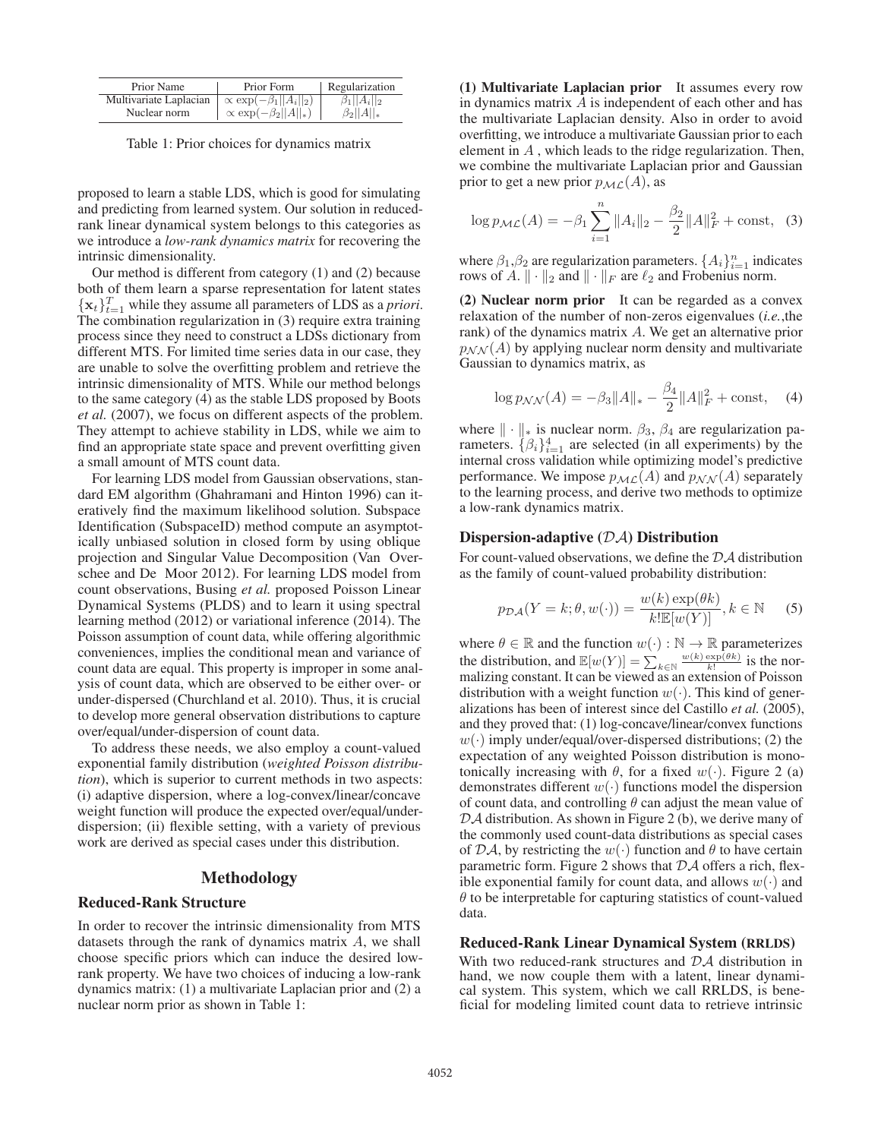| Prior Name             | Prior Form                          | Regularization     |
|------------------------|-------------------------------------|--------------------|
| Multivariate Laplacian | $\propto$ exp $(-\beta_1  A_i  _2)$ | $\beta_1  A_i  _2$ |
| Nuclear norm           | $\propto \exp(-\beta_2  A  _*)$     | $\beta_2  A  _*$   |

Table 1: Prior choices for dynamics matrix

proposed to learn a stable LDS, which is good for simulating and predicting from learned system. Our solution in reducedrank linear dynamical system belongs to this categories as we introduce a *low-rank dynamics matrix* for recovering the intrinsic dimensionality.

Our method is different from category (1) and (2) because both of them learn a sparse representation for latent states  ${\mathbf x}_t\}_{t=1}^T$  while they assume all parameters of LDS as a *priori*. The combination regularization in (3) require extra training process since they need to construct a LDSs dictionary from different MTS. For limited time series data in our case, they are unable to solve the overfitting problem and retrieve the intrinsic dimensionality of MTS. While our method belongs to the same category (4) as the stable LDS proposed by Boots *et al.* (2007), we focus on different aspects of the problem. They attempt to achieve stability in LDS, while we aim to find an appropriate state space and prevent overfitting given a small amount of MTS count data.

For learning LDS model from Gaussian observations, standard EM algorithm (Ghahramani and Hinton 1996) can iteratively find the maximum likelihood solution. Subspace Identification (SubspaceID) method compute an asymptotically unbiased solution in closed form by using oblique projection and Singular Value Decomposition (Van Overschee and De Moor 2012). For learning LDS model from count observations, Busing *et al.* proposed Poisson Linear Dynamical Systems (PLDS) and to learn it using spectral learning method (2012) or variational inference (2014). The Poisson assumption of count data, while offering algorithmic conveniences, implies the conditional mean and variance of count data are equal. This property is improper in some analysis of count data, which are observed to be either over- or under-dispersed (Churchland et al. 2010). Thus, it is crucial to develop more general observation distributions to capture over/equal/under-dispersion of count data.

To address these needs, we also employ a count-valued exponential family distribution (*weighted Poisson distribution*), which is superior to current methods in two aspects: (i) adaptive dispersion, where a log-convex/linear/concave weight function will produce the expected over/equal/underdispersion; (ii) flexible setting, with a variety of previous work are derived as special cases under this distribution.

# Methodology

#### Reduced-Rank Structure

In order to recover the intrinsic dimensionality from MTS datasets through the rank of dynamics matrix  $A$ , we shall choose specific priors which can induce the desired lowrank property. We have two choices of inducing a low-rank dynamics matrix: (1) a multivariate Laplacian prior and (2) a nuclear norm prior as shown in Table 1:

(1) Multivariate Laplacian prior It assumes every row in dynamics matrix A is independent of each other and has the multivariate Laplacian density. Also in order to avoid overfitting, we introduce a multivariate Gaussian prior to each element in  $A$ , which leads to the ridge regularization. Then, we combine the multivariate Laplacian prior and Gaussian prior to get a new prior  $p_{ML}(A)$ , as

$$
\log p_{\mathcal{ML}}(A) = -\beta_1 \sum_{i=1}^{n} ||A_i||_2 - \frac{\beta_2}{2} ||A||_F^2 + \text{const}, \quad (3)
$$

where  $\beta_1, \beta_2$  are regularization parameters.  $\{A_i\}_{i=1}^n$  indicates rows of A.  $\|\cdot\|_2$  and  $\|\cdot\|_F$  are  $\ell_2$  and Frobenius norm.

(2) Nuclear norm prior It can be regarded as a convex relaxation of the number of non-zeros eigenvalues (*i.e.*,the rank) of the dynamics matrix A. We get an alternative prior  $p_{NN}(A)$  by applying nuclear norm density and multivariate Gaussian to dynamics matrix, as

$$
\log p_{\mathcal{NN}}(A) = -\beta_3 \|A\|_{*} - \frac{\beta_4}{2} \|A\|_{F}^{2} + \text{const}, \quad (4)
$$

where  $\|\cdot\|_*$  is nuclear norm.  $\beta_3$ ,  $\beta_4$  are regularization parameters.  $\{\beta_i\}_{i=1}^4$  are selected (in all experiments) by the internal cross validation while optimizing model's predictive performance. We impose  $p_{ML}(A)$  and  $p_{NN}(A)$  separately to the learning process, and derive two methods to optimize a low-rank dynamics matrix.

### Dispersion-adaptive  $(DA)$  Distribution

For count-valued observations, we define the DA distribution as the family of count-valued probability distribution:

$$
p_{\mathcal{DA}}(Y=k; \theta, w(\cdot)) = \frac{w(k) \exp(\theta k)}{k! \mathbb{E}[w(Y)]}, k \in \mathbb{N}
$$
 (5)

where  $\theta \in \mathbb{R}$  and the function  $w(\cdot) : \mathbb{N} \to \mathbb{R}$  parameterizes<br>the distribution and  $\mathbb{E}[w(Y)] = \sum_{w(k) \exp(\theta k)}$  is the northe distribution, and  $\mathbb{E}[w(Y)] = \sum_{k \in \mathbb{N}} \frac{w(k) \exp(\theta k)}{k!}$  is the nor-<br>malizing constant. It can be viewed as an extension of Poisson malizing constant. It can be viewed as an extension of Poisson distribution with a weight function  $w(\cdot)$ . This kind of generalizations has been of interest since del Castillo *et al.* (2005), and they proved that: (1) log-concave/linear/convex functions  $w(\cdot)$  imply under/equal/over-dispersed distributions; (2) the expectation of any weighted Poisson distribution is monotonically increasing with  $\theta$ , for a fixed w(·). Figure 2 (a) demonstrates different  $w(\cdot)$  functions model the dispersion of count data, and controlling  $\theta$  can adjust the mean value of DA distribution. As shown in Figure 2 (b), we derive many of the commonly used count-data distributions as special cases of  $\mathcal{DA}$ , by restricting the  $w(\cdot)$  function and  $\theta$  to have certain parametric form. Figure 2 shows that  $\mathcal{D}A$  offers a rich, flexible exponential family for count data, and allows  $w(\cdot)$  and  $\theta$  to be interpretable for capturing statistics of count-valued data.

#### Reduced-Rank Linear Dynamical System (RRLDS)

With two reduced-rank structures and  $\mathcal{D}A$  distribution in hand, we now couple them with a latent, linear dynamical system. This system, which we call RRLDS, is beneficial for modeling limited count data to retrieve intrinsic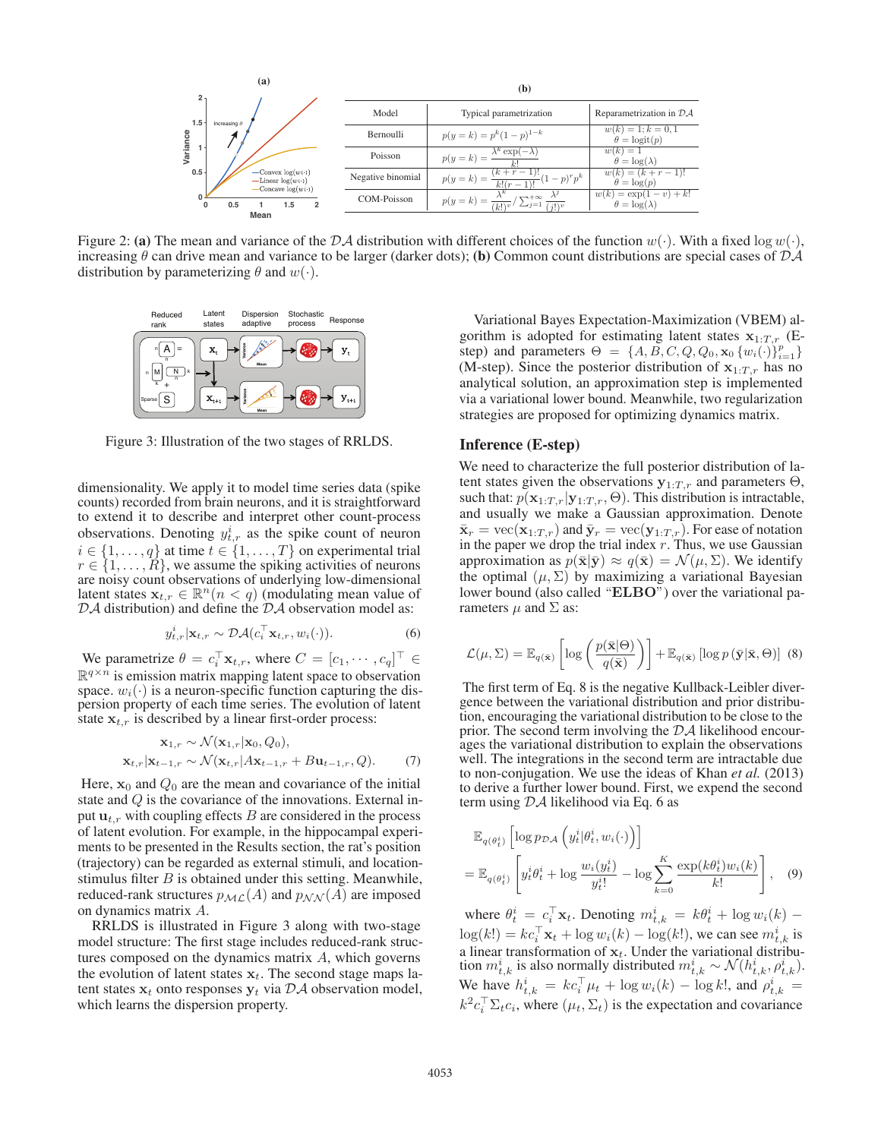

Figure 2: (a) The mean and variance of the DA distribution with different choices of the function  $w(\cdot)$ . With a fixed log  $w(\cdot)$ , increasing  $\theta$  can drive mean and variance to be larger (darker dots); (b) Common count distributions are special cases of  $\mathcal{D}\mathcal{A}$ distribution by parameterizing  $\theta$  and  $w(\cdot)$ .



Figure 3: Illustration of the two stages of RRLDS.

dimensionality. We apply it to model time series data (spike counts) recorded from brain neurons, and it is straightforward to extend it to describe and interpret other count-process observations. Denoting  $y_{t,r}^i$  as the spike count of neuron  $i \in \{1, \ldots, q\}$  at time  $t \in \{1, \ldots, T\}$  on experimental trial  $r \in \{1, \ldots, R\}$ , we assume the spiking activities of neurons  $r \in \{1, \ldots, R\}$ , we assume the spiking activities of neurons are noisy count observations of underlying low-dimensional are noisy count observations of underlying low-dimensional latent states  $\mathbf{x}_{t,r} \in \mathbb{R}^n (n < q)$  (modulating mean value of  $D\mathcal{A}$  distribution) and define the  $D\mathcal{A}$  observation model as:

$$
y_{t,r}^i|\mathbf{x}_{t,r} \sim \mathcal{DA}(c_i^{\top} \mathbf{x}_{t,r}, w_i(\cdot)).
$$
 (6)

We parametrize  $\theta = c_i^{\dagger} \mathbf{x}_{t,r}$ , where  $C = [c_1, \dots, c_q]^{\dagger} \in$ <br>  $\mathbb{R}^{q \times n}$  is emission matrix manning latent space to observation  $\mathbb{R}^{q \times n}$  is emission matrix mapping latent space to observation space.  $w_i(\cdot)$  is a neuron-specific function capturing the dispersion property of each time series. The evolution of latent state  $x_{t,r}$  is described by a linear first-order process:

$$
\mathbf{x}_{1,r} \sim \mathcal{N}(\mathbf{x}_{1,r}|\mathbf{x}_0, Q_0),
$$
  

$$
\mathbf{x}_{t,r}|\mathbf{x}_{t-1,r} \sim \mathcal{N}(\mathbf{x}_{t,r}|A\mathbf{x}_{t-1,r} + B\mathbf{u}_{t-1,r}, Q).
$$
 (7)

Here,  $x_0$  and  $Q_0$  are the mean and covariance of the initial state and Q is the covariance of the innovations. External input  $\mathbf{u}_{t,r}$  with coupling effects B are considered in the process of latent evolution. For example, in the hippocampal experiments to be presented in the Results section, the rat's position (trajectory) can be regarded as external stimuli, and locationstimulus filter  $B$  is obtained under this setting. Meanwhile, reduced-rank structures  $p_{ML}(A)$  and  $p_{NN}(A)$  are imposed on dynamics matrix A.

RRLDS is illustrated in Figure 3 along with two-stage model structure: The first stage includes reduced-rank structures composed on the dynamics matrix A, which governs the evolution of latent states  $x_t$ . The second stage maps latent states  $x_t$  onto responses  $y_t$  via  $\mathcal{D}\mathcal{A}$  observation model, which learns the dispersion property.

Variational Bayes Expectation-Maximization (VBEM) algorithm is adopted for estimating latent states  $x_{1:T,r}$  (Estep) and parameters  $\Theta = \{A, B, C, Q, Q_0, x_0 \{w_i(\cdot)\}_{i=1}^p\}$ <br>(M-step). Since the posterior distribution of  $\mathbf{x}_i$  m has no (M-step). Since the posterior distribution of  $x_{1:T,r}$  has no analytical solution, an approximation step is implemented via a variational lower bound. Meanwhile, two regularization strategies are proposed for optimizing dynamics matrix.

## Inference (E-step)

We need to characterize the full posterior distribution of latent states given the observations  $y_{1:T,r}$  and parameters  $\Theta$ , such that:  $p(\mathbf{x}_{1:T,r}|\mathbf{y}_{1:T,r}, \Theta)$ . This distribution is intractable, and usually we make a Gaussian approximation. Denote  $\bar{\mathbf{x}}_r = \text{vec}(\mathbf{x}_{1:T,r})$  and  $\bar{\mathbf{y}}_r = \text{vec}(\mathbf{y}_{1:T,r})$ . For ease of notation in the paper we drop the trial index  $r$ . Thus, we use Gaussian approximation as  $p(\bar{\mathbf{x}}|\bar{\mathbf{y}}) \approx q(\bar{\mathbf{x}}) = \mathcal{N}(\mu, \Sigma)$ . We identify the optimal  $(\mu, \Sigma)$  by maximizing a variational Bayesian lower bound (also called "**ELBO**") over the variational parameters  $\mu$  and  $\Sigma$  as:

$$
\mathcal{L}(\mu, \Sigma) = \mathbb{E}_{q(\bar{\mathbf{x}})} \left[ \log \left( \frac{p(\bar{\mathbf{x}}|\Theta)}{q(\bar{\mathbf{x}})} \right) \right] + \mathbb{E}_{q(\bar{\mathbf{x}})} \left[ \log p\left(\bar{\mathbf{y}}|\bar{\mathbf{x}}, \Theta\right) \right] \tag{8}
$$

The first term of Eq. 8 is the negative Kullback-Leibler divergence between the variational distribution and prior distribution, encouraging the variational distribution to be close to the prior. The second term involving the  $\mathcal{D}A$  likelihood encourages the variational distribution to explain the observations well. The integrations in the second term are intractable due to non-conjugation. We use the ideas of Khan *et al.* (2013) to derive a further lower bound. First, we expend the second term using DA likelihood via Eq. 6 as

$$
\mathbb{E}_{q(\theta_t^i)} \left[ \log p_{\mathcal{DA}} \left( y_t^i | \theta_t^i, w_i(\cdot) \right) \right]
$$
\n
$$
= \mathbb{E}_{q(\theta_t^i)} \left[ y_t^i \theta_t^i + \log \frac{w_i(y_t^i)}{y_t^{i!}} - \log \sum_{k=0}^K \frac{\exp(k\theta_t^i) w_i(k)}{k!} \right], \quad (9)
$$

where  $\theta_t^i = c_i^{\mathsf{T}} \mathbf{x}_t$ . Denoting  $m_{t,k}^i = k\theta_t^i + \log w_i(k) \log(k!) = kc_{i}^{\top} \mathbf{x}_{t} + \log w_{i}(k) - \log(k!)$ , we can see  $m_{i,k}^{i}$  is a linear transformation of  $x_t$ . Under the variational distribution  $m_{t,k}^i$  is also normally distributed  $m_{t,k}^i \sim \mathcal{N}(h_{t,k}^i, \rho_{t,k}^i)$ .<br>We have  $h_i^i$ ,  $h_i$ ,  $h_{t,k}$ ,  $h_{t,k}$ ,  $h_{t,k}$ ,  $h_{t,k}$ ,  $h_{t,k}$ ,  $h_{t,k}$ ,  $h_{t,k}$ ,  $h_{t,k}$ ,  $h_{t,k}$ ,  $h_{t,k}$ ,  $h_{t,k}$ ,  $h_{t,k}$ ,  $h_{t,k}$ ,  $h$ We have  $h_{t,k}^i = kc_t^\top \mu_t + \log w_i(k) - \log k!$ , and  $\rho_{t,k}^i =$  $k^2 c_i^T \Sigma_t c_i$ , where  $(\mu_t, \Sigma_t)$  is the expectation and covariance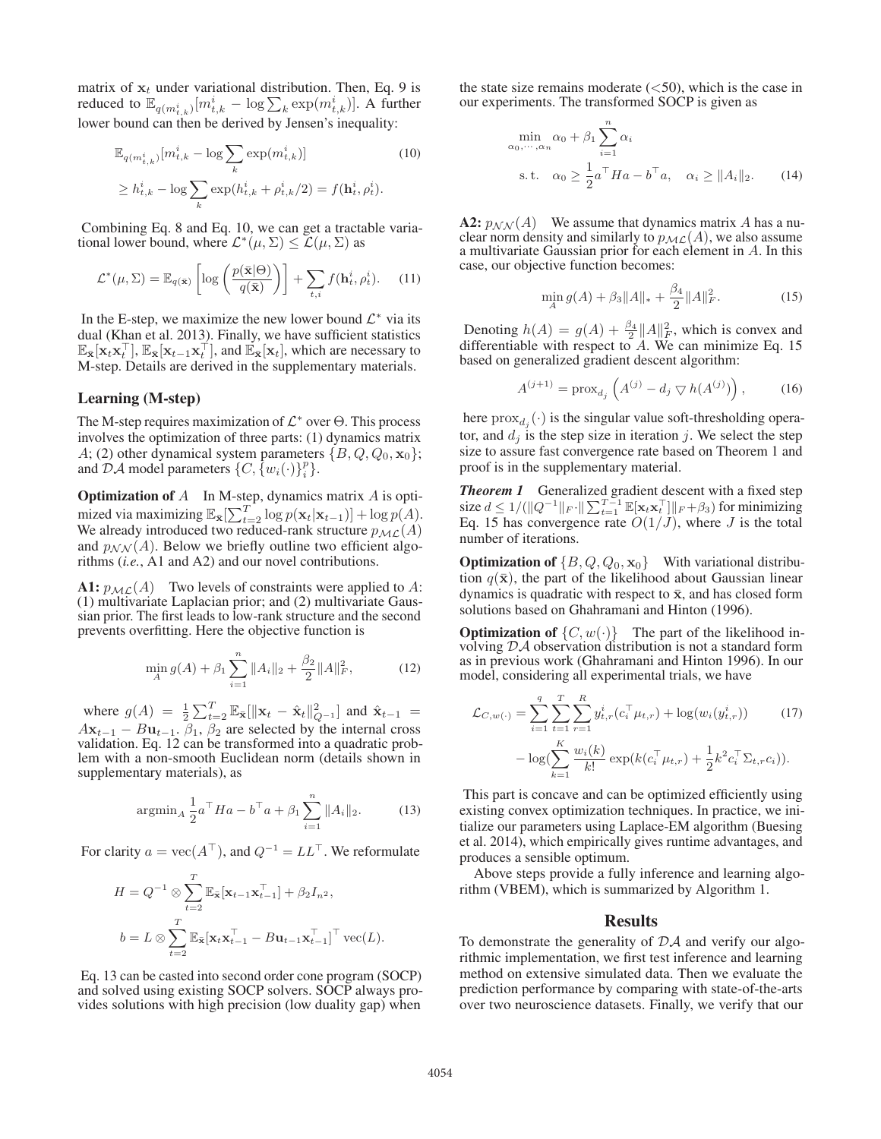matrix of  $x_t$  under variational distribution. Then, Eq. 9 is reduced to  $\mathbb{E}_{q(m_{t,k}^i)}[m_{t,k}^i - \log \sum_k \exp(m_{t,k}^i)].$  A further lower bound can then be derived by Jensen's inequality:

$$
\mathbb{E}_{q(m_{t,k}^i)}[m_{t,k}^i - \log \sum_k \exp(m_{t,k}^i)]
$$
\n
$$
\geq h_{t,k}^i - \log \sum_k \exp(h_{t,k}^i + \rho_{t,k}^i/2) = f(\mathbf{h}_t^i, \rho_t^i).
$$
\n(10)

Combining Eq. 8 and Eq. 10, we can get a tractable variational lower bound, where  $\mathcal{L}^*(\mu, \Sigma) \leq \mathcal{L}(\mu, \Sigma)$  as

$$
\mathcal{L}^*(\mu, \Sigma) = \mathbb{E}_{q(\bar{\mathbf{x}})} \left[ \log \left( \frac{p(\bar{\mathbf{x}}|\Theta)}{q(\bar{\mathbf{x}})} \right) \right] + \sum_{t,i} f(\mathbf{h}_t^i, \rho_t^i). \tag{11}
$$

In the E-step, we maximize the new lower bound  $\mathcal{L}^*$  via its dual (Khan et al. 2013). Finally, we have sufficient statistics  $\mathbb{E}_{\bar{\mathbf{x}}}[\mathbf{x}_t \mathbf{x}_t^\top], \mathbb{E}_{\bar{\mathbf{x}}}[\mathbf{x}_{t-1} \mathbf{x}_t^\top],$  and  $\mathbb{E}_{\bar{\mathbf{x}}}[\mathbf{x}_t],$  which are necessary to M-step Details are derived in the supplementary materials M-step. Details are derived in the supplementary materials.

### Learning (M-step)

The M-step requires maximization of  $\mathcal{L}^*$  over  $\Theta$ . This process involves the optimization of three parts: (1) dynamics matrix A; (2) other dynamical system parameters  $\{B, Q, Q_0, \mathbf{x}_0\}$ ; and DA model parameters  $\{C, \{w_i(\cdot)\}_i^p\}$ .

**Optimization of**  $A$  In M-step, dynamics matrix  $A$  is optimized via maximizing  $\mathbb{E}_{\bar{\mathbf{x}}}[\sum_{t=2}^{T} \log p(\mathbf{x}_t|\mathbf{x}_{t-1})] + \log p(A)$ .<br>We already introduced two reduced-rank structure  $p_{\mathcal{M}\mathcal{L}}(A)$ . We already introduced two reduced-rank structure  $p_{ML}(A)$ and  $p_{NN}(A)$ . Below we briefly outline two efficient algorithms (*i.e.*, A1 and A2) and our novel contributions.

A1:  $p_{ML}(A)$  Two levels of constraints were applied to A: (1) multivariate Laplacian prior; and (2) multivariate Gaussian prior. The first leads to low-rank structure and the second prevents overfitting. Here the objective function is

$$
\min_{A} g(A) + \beta_1 \sum_{i=1}^{n} \|A_i\|_2 + \frac{\beta_2}{2} \|A\|_F^2, \tag{12}
$$

where  $g(A) = \frac{1}{2} \sum_{t=2}^{T} \mathbb{E}_{\bar{\mathbf{x}}} [\|\mathbf{x}_t - \hat{\mathbf{x}}_t\|_{Q^{-1}}^2]$  and  $\hat{\mathbf{x}}_{t-1} =$  $A\mathbf{x}_{t-1} - B\mathbf{u}_{t-1}$ ,  $\beta_1$ ,  $\beta_2$  are selected by the internal cross validation. Eq. 12 can be transformed into a quadratic problem with a non-smooth Euclidean norm (details shown in supplementary materials), as

$$
\operatorname{argmin}_{A} \frac{1}{2} a^{\top} H a - b^{\top} a + \beta_1 \sum_{i=1}^{n} \|A_i\|_2.
$$
 (13)

For clarity  $a = \text{vec}(A^{\top})$ , and  $Q^{-1} = LL^{\top}$ . We reformulate

$$
H = Q^{-1} \otimes \sum_{t=2}^{T} \mathbb{E}_{\bar{\mathbf{x}}}[\mathbf{x}_{t-1} \mathbf{x}_{t-1}^{\top}] + \beta_2 I_{n^2},
$$
  

$$
b = L \otimes \sum_{t=2}^{T} \mathbb{E}_{\bar{\mathbf{x}}}[\mathbf{x}_t \mathbf{x}_{t-1}^{\top} - B \mathbf{u}_{t-1} \mathbf{x}_{t-1}^{\top}]^{\top} \text{vec}(L).
$$

Eq. 13 can be casted into second order cone program (SOCP) and solved using existing SOCP solvers. SOCP always provides solutions with high precision (low duality gap) when

the state size remains moderate  $(<50)$ , which is the case in our experiments. The transformed SOCP is given as

$$
\min_{\alpha_0, \cdots, \alpha_n} \alpha_0 + \beta_1 \sum_{i=1}^n \alpha_i
$$
\n
$$
\text{s.t.} \quad \alpha_0 \ge \frac{1}{2} a^\top H a - b^\top a, \quad \alpha_i \ge ||A_i||_2. \tag{14}
$$

**A2:**  $p_{NN}(A)$  We assume that dynamics matrix A has a nuclear norm density and similarly to  $p_{ML}(A)$ , we also assume a multivariate Gaussian prior for each element in A. In this case, our objective function becomes:

$$
\min_{A} g(A) + \beta_3 \|A\|_{*} + \frac{\beta_4}{2} \|A\|_{F}^{2}.
$$
 (15)

Denoting  $h(A) = g(A) + \frac{\beta_4}{2} ||A||_F^2$ , which is convex and lifterentiable with respect to A. We can minimize Eq. 15 differentiable with respect to  $A$ . We can minimize Eq. 15 based on generalized gradient descent algorithm:

$$
A^{(j+1)} = \text{prox}_{d_j} \left( A^{(j)} - d_j \nabla h(A^{(j)}) \right), \quad (16)
$$

here  $prox_{d_i}(\cdot)$  is the singular value soft-thresholding operator, and  $d_i$  is the step size in iteration j. We select the step size to assure fast convergence rate based on Theorem 1 and proof is in the supplementary material.

*Theorem 1* Generalized gradient descent with a fixed step size  $d \leq 1/(\sqrt{\|Q^{-1}\|_F \cdot \| \sum_{t=1}^{T-1} \mathbb{E}[\mathbf{x}_t \mathbf{x}_t^\top] \|_F + \beta_3})$  for minimizing<br>For 15 has convergence rate  $O(1/T)$  where L is the total Eq. 15 has convergence rate  $O(1/J)$ , where J is the total number of iterations.

**Optimization of**  $\{B, Q, Q_0, \mathbf{x}_0\}$  With variational distribution  $q(\bar{\mathbf{x}})$ , the part of the likelihood about Gaussian linear dynamics is quadratic with respect to  $\bar{x}$ , and has closed form solutions based on Ghahramani and Hinton (1996).

**Optimization of**  $\{C, w(\cdot)\}$  The part of the likelihood involving DA observation distribution is not a standard form as in previous work (Ghahramani and Hinton 1996). In our model, considering all experimental trials, we have

$$
\mathcal{L}_{C,w(\cdot)} = \sum_{i=1}^{q} \sum_{t=1}^{T} \sum_{r=1}^{R} y_{t,r}^{i} (c_{i}^{\top} \mu_{t,r}) + \log(w_{i}(y_{t,r}^{i})) \qquad (17)
$$

$$
- \log(\sum_{k=1}^{K} \frac{w_{i}(k)}{k!} \exp(k(c_{i}^{\top} \mu_{t,r}) + \frac{1}{2} k^{2} c_{i}^{\top} \Sigma_{t,r} c_{i})).
$$

This part is concave and can be optimized efficiently using existing convex optimization techniques. In practice, we initialize our parameters using Laplace-EM algorithm (Buesing et al. 2014), which empirically gives runtime advantages, and produces a sensible optimum.

Above steps provide a fully inference and learning algorithm (VBEM), which is summarized by Algorithm 1.

### Results

To demonstrate the generality of  $\mathcal{D}A$  and verify our algorithmic implementation, we first test inference and learning method on extensive simulated data. Then we evaluate the prediction performance by comparing with state-of-the-arts over two neuroscience datasets. Finally, we verify that our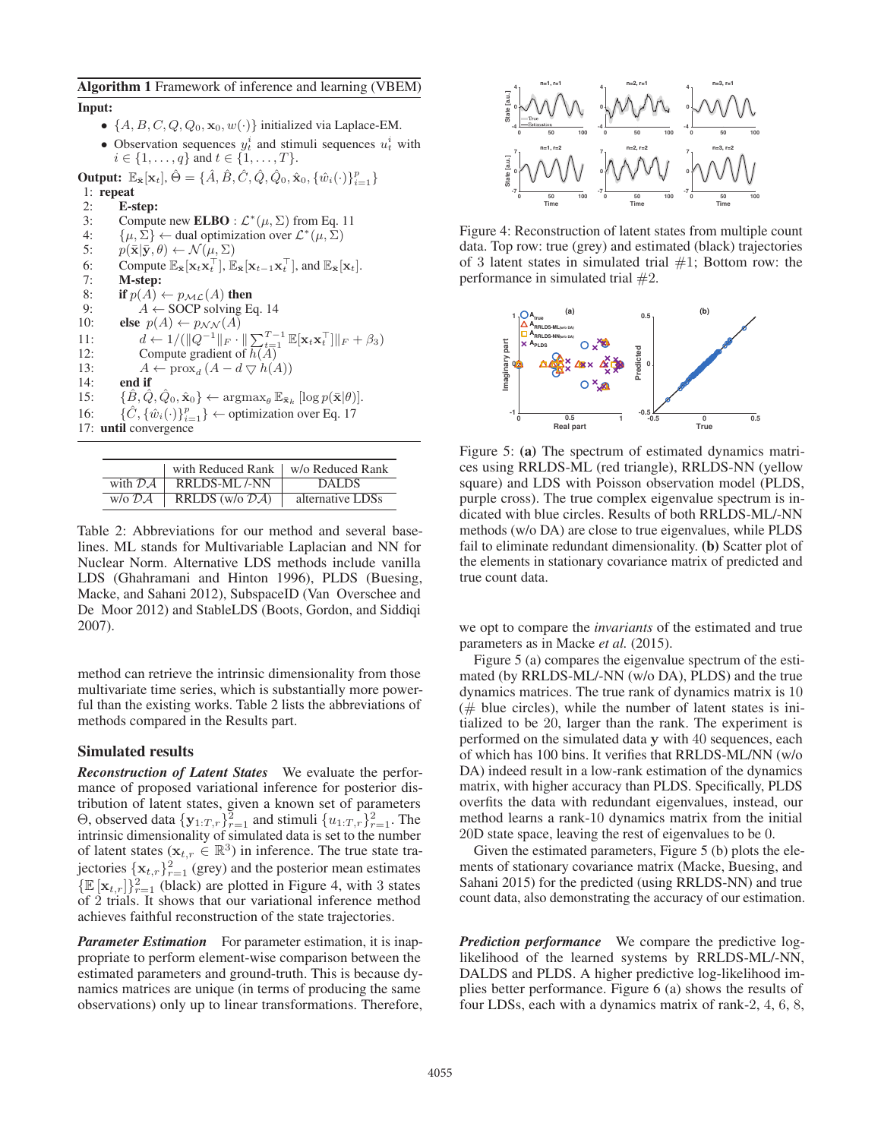#### Algorithm 1 Framework of inference and learning (VBEM)

## Input:

- $\{A, B, C, Q, Q_0, \mathbf{x}_0, w(\cdot)\}\$ initialized via Laplace-EM.
- Observation sequences  $y_t^i$  and stimuli sequences  $u_t^i$  with  $i \in \{1, ..., q\}$  and  $t \in \{1, ..., T\}$ .

**Output:**  $\mathbb{E}_{\bar{\mathbf{x}}}[x_t], \hat{\Theta} = \{\hat{A}, \hat{B}, \hat{C}, \hat{Q}, \hat{Q}_0, \hat{\mathbf{x}}_0, \{\hat{w}_i(\cdot)\}_{i=1}^p\}$ 

1: repeat<br>2:  $E-s$ 

2: **E-step:**<br>3: Comput 3: Compute new **ELBO** :  $\mathcal{L}^*(\mu, \Sigma)$  from Eq. 11<br>4:  $\{\mu, \Sigma\} \leftarrow$  dual optimization over  $\mathcal{L}^*(\mu, \Sigma)$ 4:  $\{\mu, \Sigma\} \leftarrow$  dual optimization over  $\mathcal{L}^*(\mu, \Sigma)$ <br>5:  $p(\overline{\mathbf{x}} | \overline{\mathbf{y}}, \theta) \leftarrow \mathcal{N}(\mu, \Sigma)$ 5:  $p(\bar{\mathbf{x}}|\bar{\mathbf{y}}, \theta) \leftarrow \mathcal{N}(\mu, \Sigma)$ <br>6: Compute  $\mathbb{E}_{\bar{\mathbf{x}}}[\mathbf{x}_t \mathbf{x}_t^\top], \mathbb{E}$ 6: Compute  $\mathbb{E}_{\bar{\mathbf{x}}}[\mathbf{x}_t \mathbf{x}_t^\top], \mathbb{E}_{\bar{\mathbf{x}}}[\mathbf{x}_{t-1} \mathbf{x}_t^\top],$  and  $\mathbb{E}_{\bar{\mathbf{x}}}[\mathbf{x}_t].$ <br>7. **M**-sten: 7: M-step: 8: if  $p(A) \leftarrow p_{\mathcal{ML}}(A)$  then<br>9:  $A \leftarrow$  SOCP solving E 9:  $A \leftarrow$  SOCP solving Eq. 14<br>10: **else**  $p(A) \leftarrow p_{NN}(A)$ 10: **else**  $p(A) \leftarrow p_{\mathcal{NN}}(A)$ <br>11:  $d \leftarrow 1/(||O^{-1}||_{\mathcal{N}})$ 11:  $d \leftarrow 1/(\left\|Q^{-1}\right\|_F \cdot \left\|\sum_{t=1}^{T-1} \mathbb{E}[\mathbf{x}_t \mathbf{x}_t^\top] \right\|_F + \beta_3)$ <br>12: Compute gradient of  $h(A)$ 12: Compute gradient of  $h(A)$ <br>13:  $A \leftarrow \text{prox} \cdot (A - d \nabla h)$ 13:  $A \leftarrow \text{prox}_d (A - d \nabla h(A))$ <br>14: **end if** end if 15: { $\hat{B}, \hat{Q}, \hat{Q}_0, \hat{\mathbf{x}}_0$ }  $\leftarrow$  argmax<sub> $\theta$ </sub> $\mathbb{E}_{\bar{\mathbf{x}}_k}$  [log  $p(\bar{\mathbf{x}}|\theta)$ ].<br>
16: { $\hat{C}, \{\hat{w}_i(\cdot)\}_{i=1}^p$ }  $\leftarrow$  optimization over Eq. 17 16:  $\{\hat{C}, \{\hat{w}_i(\cdot)\}_{i=1}^p\}$   $\leftarrow$  optimization over Eq. 17<br>17: **until** convergence 17: until convergence

|                                 | with Reduced Rank   w/o Reduced Rank   |                  |
|---------------------------------|----------------------------------------|------------------|
| with $\mathcal{D}A$             | <b>RRLDS-ML/-NN</b>                    | <b>DALDS</b>     |
| $w$ /0 $\mathcal{D}\mathcal{A}$ | RRLDS (w/o $\overline{\mathcal{DA}}$ ) | alternative LDSs |

Table 2: Abbreviations for our method and several baselines. ML stands for Multivariable Laplacian and NN for Nuclear Norm. Alternative LDS methods include vanilla LDS (Ghahramani and Hinton 1996), PLDS (Buesing, Macke, and Sahani 2012), SubspaceID (Van Overschee and De Moor 2012) and StableLDS (Boots, Gordon, and Siddiqi 2007).

method can retrieve the intrinsic dimensionality from those multivariate time series, which is substantially more powerful than the existing works. Table 2 lists the abbreviations of methods compared in the Results part.

## Simulated results

*Reconstruction of Latent States* We evaluate the performance of proposed variational inference for posterior distribution of latent states, given a known set of parameters Θ, observed data  $\{y_{1:T,r}\}_{r=1}^2$  and stimuli  $\{u_{1:T,r}\}_{r=1}^2$ . The intrinsic dimensionality of simulated data is set to the number intrinsic dimensionality of simulated data is set to the number of latent states ( $\mathbf{x}_{t,r} \in \mathbb{R}^3$ ) in inference. The true state trajectories  $\{x_{t,r}\}_{r=1}^2$  (grey) and the posterior mean estimates  $\{\mathbb{E}[\mathbf{x}_{t,r}]\}_{r=1}^2$  (black) are plotted in Figure 4, with 3 states of 2 trials. It shows that our variational inference method of <sup>2</sup> trials. It shows that our variational inference method achieves faithful reconstruction of the state trajectories.

*Parameter Estimation* For parameter estimation, it is inappropriate to perform element-wise comparison between the estimated parameters and ground-truth. This is because dynamics matrices are unique (in terms of producing the same observations) only up to linear transformations. Therefore,



Figure 4: Reconstruction of latent states from multiple count data. Top row: true (grey) and estimated (black) trajectories of 3 latent states in simulated trial  $#1$ ; Bottom row: the performance in simulated trial  $#2$ .



Figure 5: (a) The spectrum of estimated dynamics matrices using RRLDS-ML (red triangle), RRLDS-NN (yellow square) and LDS with Poisson observation model (PLDS, purple cross). The true complex eigenvalue spectrum is indicated with blue circles. Results of both RRLDS-ML/-NN methods (w/o DA) are close to true eigenvalues, while PLDS fail to eliminate redundant dimensionality. (b) Scatter plot of the elements in stationary covariance matrix of predicted and true count data.

we opt to compare the *invariants* of the estimated and true parameters as in Macke *et al.* (2015).

Figure 5 (a) compares the eigenvalue spectrum of the estimated (by RRLDS-ML/-NN (w/o DA), PLDS) and the true dynamics matrices. The true rank of dynamics matrix is 10  $(\#$  blue circles), while the number of latent states is initialized to be <sup>20</sup>, larger than the rank. The experiment is performed on the simulated data **<sup>y</sup>** with 40 sequences, each of which has 100 bins. It verifies that RRLDS-ML/NN (w/o DA) indeed result in a low-rank estimation of the dynamics matrix, with higher accuracy than PLDS. Specifically, PLDS overfits the data with redundant eigenvalues, instead, our method learns a rank-10 dynamics matrix from the initial 20D state space, leaving the rest of eigenvalues to be 0.

Given the estimated parameters, Figure 5 (b) plots the elements of stationary covariance matrix (Macke, Buesing, and Sahani 2015) for the predicted (using RRLDS-NN) and true count data, also demonstrating the accuracy of our estimation.

*Prediction performance* We compare the predictive loglikelihood of the learned systems by RRLDS-ML/-NN, DALDS and PLDS. A higher predictive log-likelihood implies better performance. Figure 6 (a) shows the results of four LDSs, each with a dynamics matrix of rank-2, 4, 6, 8,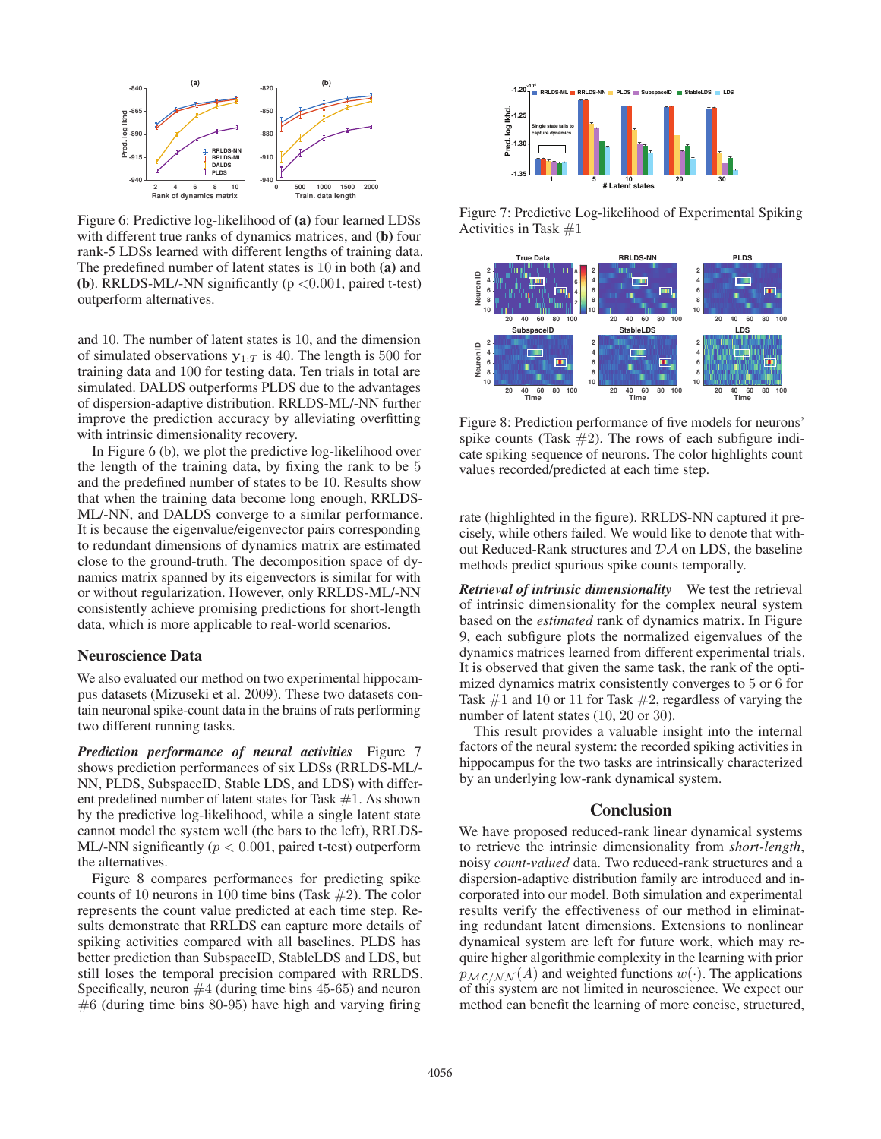

Figure 6: Predictive log-likelihood of (a) four learned LDSs with different true ranks of dynamics matrices, and (b) four rank-5 LDSs learned with different lengths of training data. The predefined number of latent states is 10 in both (a) and (b). RRLDS-ML/-NN significantly ( $p < 0.001$ , paired t-test) outperform alternatives.

and 10. The number of latent states is 10, and the dimension of simulated observations  $y_{1:T}$  is 40. The length is 500 for training data and <sup>100</sup> for testing data. Ten trials in total are simulated. DALDS outperforms PLDS due to the advantages of dispersion-adaptive distribution. RRLDS-ML/-NN further improve the prediction accuracy by alleviating overfitting with intrinsic dimensionality recovery.

In Figure 6 (b), we plot the predictive log-likelihood over the length of the training data, by fixing the rank to be 5 and the predefined number of states to be 10. Results show that when the training data become long enough, RRLDS-ML/-NN, and DALDS converge to a similar performance. It is because the eigenvalue/eigenvector pairs corresponding to redundant dimensions of dynamics matrix are estimated close to the ground-truth. The decomposition space of dynamics matrix spanned by its eigenvectors is similar for with or without regularization. However, only RRLDS-ML/-NN consistently achieve promising predictions for short-length data, which is more applicable to real-world scenarios.

### Neuroscience Data

We also evaluated our method on two experimental hippocampus datasets (Mizuseki et al. 2009). These two datasets contain neuronal spike-count data in the brains of rats performing two different running tasks.

*Prediction performance of neural activities* Figure 7 shows prediction performances of six LDSs (RRLDS-ML/- NN, PLDS, SubspaceID, Stable LDS, and LDS) with different predefined number of latent states for Task  $#1$ . As shown by the predictive log-likelihood, while a single latent state cannot model the system well (the bars to the left), RRLDS-ML/-NN significantly ( $p < 0.001$ , paired t-test) outperform the alternatives.

Figure 8 compares performances for predicting spike counts of 10 neurons in 100 time bins (Task  $#2$ ). The color represents the count value predicted at each time step. Results demonstrate that RRLDS can capture more details of spiking activities compared with all baselines. PLDS has better prediction than SubspaceID, StableLDS and LDS, but still loses the temporal precision compared with RRLDS. Specifically, neuron  $#4$  (during time bins 45-65) and neuron  $#6$  (during time bins 80-95) have high and varying firing



Figure 7: Predictive Log-likelihood of Experimental Spiking Activities in Task #1



Figure 8: Prediction performance of five models for neurons' spike counts (Task  $#2$ ). The rows of each subfigure indicate spiking sequence of neurons. The color highlights count values recorded/predicted at each time step.

rate (highlighted in the figure). RRLDS-NN captured it precisely, while others failed. We would like to denote that without Reduced-Rank structures and DA on LDS, the baseline methods predict spurious spike counts temporally.

*Retrieval of intrinsic dimensionality* We test the retrieval of intrinsic dimensionality for the complex neural system based on the *estimated* rank of dynamics matrix. In Figure 9, each subfigure plots the normalized eigenvalues of the dynamics matrices learned from different experimental trials. It is observed that given the same task, the rank of the optimized dynamics matrix consistently converges to 5 or 6 for Task  $#1$  and 10 or 11 for Task  $#2$ , regardless of varying the number of latent states (10, 20 or 30).

This result provides a valuable insight into the internal factors of the neural system: the recorded spiking activities in hippocampus for the two tasks are intrinsically characterized by an underlying low-rank dynamical system.

#### Conclusion

We have proposed reduced-rank linear dynamical systems to retrieve the intrinsic dimensionality from *short-length*, noisy *count-valued* data. Two reduced-rank structures and a dispersion-adaptive distribution family are introduced and incorporated into our model. Both simulation and experimental results verify the effectiveness of our method in eliminating redundant latent dimensions. Extensions to nonlinear dynamical system are left for future work, which may require higher algorithmic complexity in the learning with prior  $p_{ML/NN}(A)$  and weighted functions  $w(\cdot)$ . The applications of this system are not limited in neuroscience. We expect our method can benefit the learning of more concise, structured,